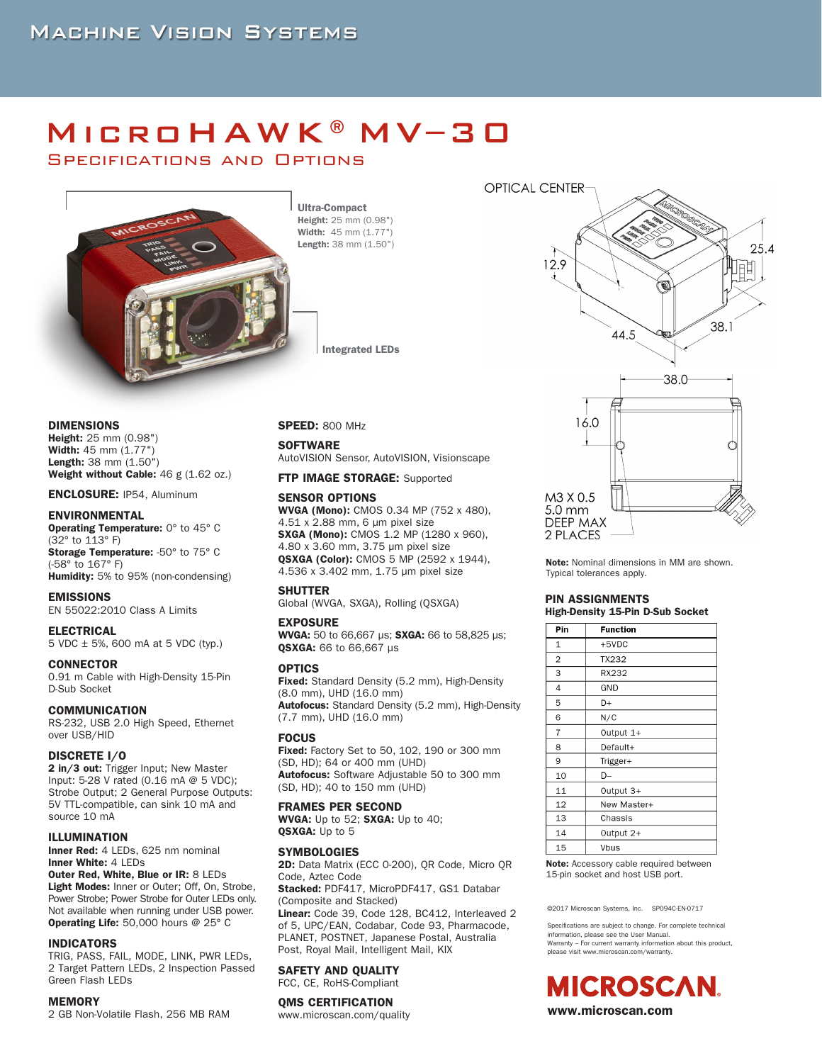# MicroHAWK®MV–30

Specifications and Options



Ultra-Compact Height: 25 mm (0.98") Width: 45 mm (1.77") Length: 38 mm (1.50")

Integrated LEDs

DIMENSIONS

Height: 25 mm (0.98") Width: 45 mm (1.77") Length: 38 mm (1.50") Weight without Cable: 46 g (1.62 oz.)

ENCLOSURE: IP54, Aluminum

#### ENVIRONMENTAL

Operating Temperature: 0° to 45° C (32° to 113° F) Storage Temperature: -50° to 75° C (-58° to 167° F) Humidity: 5% to 95% (non-condensing)

#### EMISSIONS

EN 55022:2010 Class A Limits

#### ELECTRICAL

5 VDC ± 5%, 600 mA at 5 VDC (typ.)

#### **CONNECTOR**

0.91 m Cable with High-Density 15-Pin D-Sub Socket

#### COMMUNICATION

RS-232, USB 2.0 High Speed, Ethernet over USB/HID

#### DISCRETE I/O

2 in/3 out: Trigger Input; New Master Input: 5-28 V rated (0.16 mA @ 5 VDC); Strobe Output; 2 General Purpose Outputs: 5V TTL-compatible, can sink 10 mA and source 10 mA

#### ILLUMINATION

Inner Red: 4 LEDs, 625 nm nominal Inner White: 4 LEDs

Outer Red, White, Blue or IR: 8 LEDs Light Modes: Inner or Outer; Off, On, Strobe, Power Strobe; Power Strobe for Outer LEDs only. Not available when running under USB power. Operating Life: 50,000 hours @ 25° C

#### INDICATORS

TRIG, PASS, FAIL, MODE, LINK, PWR LEDs, 2 Target Pattern LEDs, 2 Inspection Passed Green Flash LEDs

#### **MEMORY**

2 GB Non-Volatile Flash, 256 MB RAM

#### SPEED: 800 MHz

**SOFTWARE** 

AutoVISION Sensor, AutoVISION, Visionscape

FTP IMAGE STORAGE: Supported

#### SENSOR OPTIONS

WVGA (Mono): CMOS 0.34 MP (752 x 480), 4.51 x 2.88 mm, 6 μm pixel size SXGA (Mono): CMOS 1.2 MP (1280 x 960), 4.80 x 3.60 mm, 3.75 μm pixel size QSXGA (Color): CMOS 5 MP (2592 x 1944), 4.536 x 3.402 mm, 1.75 μm pixel size

#### **SHUTTER**

Global (WVGA, SXGA), Rolling (QSXGA)

#### EXPOSURE

WVGA: 50 to 66,667 μs; SXGA: 66 to 58,825 μs; QSXGA: 66 to 66,667 μs

#### OPTICS

**Fixed:** Standard Density (5.2 mm), High-Density (8.0 mm), UHD (16.0 mm) Autofocus: Standard Density (5.2 mm), High-Density (7.7 mm), UHD (16.0 mm)

#### FOCUS

**Fixed:** Factory Set to 50, 102, 190 or 300 mm (SD, HD); 64 or 400 mm (UHD) Autofocus: Software Adjustable 50 to 300 mm (SD, HD); 40 to 150 mm (UHD)

#### FRAMES PER SECOND

WVGA: Up to 52; SXGA: Up to 40; QSXGA: Up to 5

#### **SYMBOLOGIES**

2D: Data Matrix (ECC 0-200), QR Code, Micro QR Code, Aztec Code

Stacked: PDF417, MicroPDF417, GS1 Databar (Composite and Stacked) Linear: Code 39, Code 128, BC412, Interleaved 2 of 5, UPC/EAN, Codabar, Code 93, Pharmacode,

PLANET, POSTNET, Japanese Postal, Australia Post, Royal Mail, Intelligent Mail, KIX

#### SAFETY AND QUALITY

FCC, CE, RoHS-Compliant

#### QMS CERTIFICATION

www.microscan.com/quality



Note: Nominal dimensions in MM are shown. Typical tolerances apply.

## PIN ASSIGNMENTS High-Density 15-Pin D-Sub Socket

| Pin            | <b>Function</b> |  |  |  |
|----------------|-----------------|--|--|--|
| $\mathbf{1}$   | $+5VDC$         |  |  |  |
| $\overline{2}$ | TX232           |  |  |  |
| 3              | RX232           |  |  |  |
| 4              | GND             |  |  |  |
| 5              | D+              |  |  |  |
| 6              | N/C             |  |  |  |
| $\overline{7}$ | Output 1+       |  |  |  |
| 8              | Default+        |  |  |  |
| 9              | Trigger+        |  |  |  |
| 10             | D-              |  |  |  |
| 11             | Output 3+       |  |  |  |
| 12             | New Master+     |  |  |  |
| 13             | Chassis         |  |  |  |
| 14             | Output 2+       |  |  |  |
| 15             | Vbus            |  |  |  |

Note: Accessory cable required between 15-pin socket and host USB port.

©2017 Microscan Systems, Inc. SP094C-EN-0717

Specifications are subject to change. For complete technical information, please see the User Manual. Warranty – For current warranty information about this product, please visit www.microscan.com/warranty.

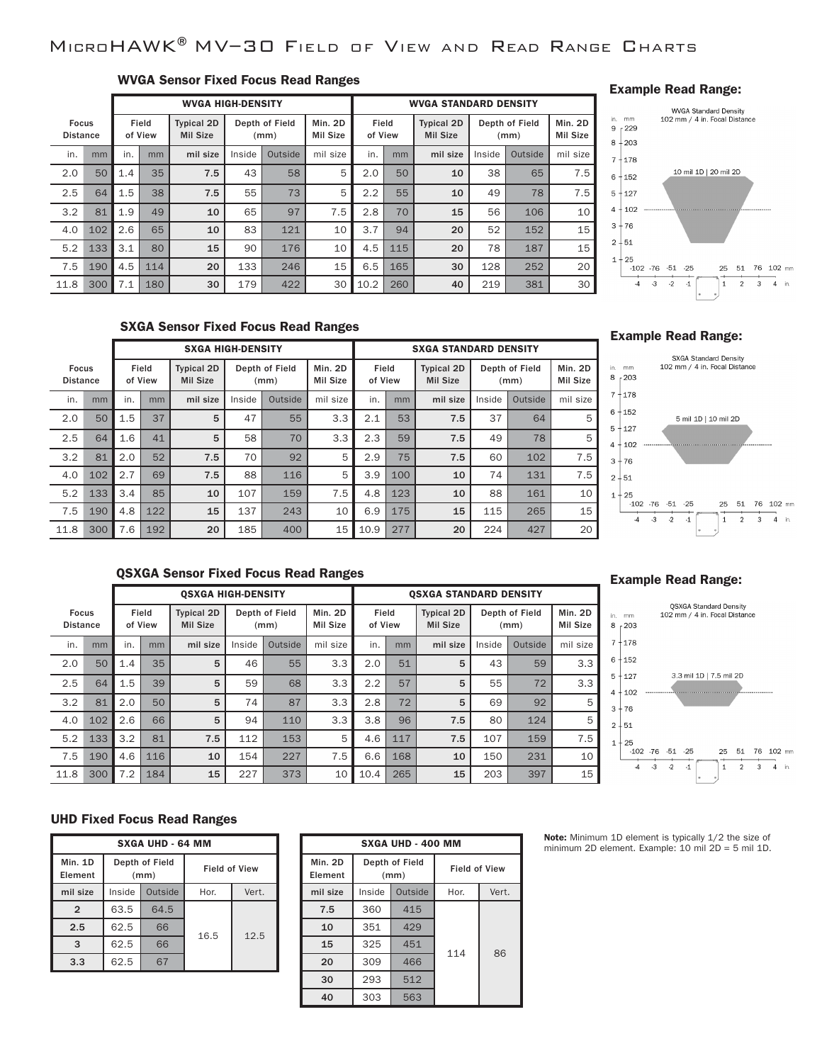## MicroHAWK®MV–30 Field of View and Read Range Charts

## WVGA Sensor Fixed Focus Read Ranges

|                                 |     |     |                  | <b>WVGA HIGH-DENSITY</b>             |        |                        |                     | <b>WVGA STANDARD DENSITY</b> |     |                                      |        |                        |                     |
|---------------------------------|-----|-----|------------------|--------------------------------------|--------|------------------------|---------------------|------------------------------|-----|--------------------------------------|--------|------------------------|---------------------|
| <b>Focus</b><br><b>Distance</b> |     |     | Field<br>of View | <b>Typical 2D</b><br><b>Mil Size</b> |        | Depth of Field<br>(mm) | Min. 2D<br>Mil Size | Field<br>of View             |     | <b>Typical 2D</b><br><b>Mil Size</b> |        | Depth of Field<br>(mm) | Min. 2D<br>Mil Size |
| in.                             | mm  | in. | mm               | mil size                             | Inside | Outside                | mil size            | in.                          | mm  | mil size                             | Inside | Outside                | mil size            |
| 2.0                             | 50  | 1.4 | 35               | 7.5                                  | 43     | 58                     | 5                   | 2.0                          | 50  | 10                                   | 38     | 65                     | 7.5                 |
| 2.5                             | 64  | 1.5 | 38               | 7.5                                  | 55     | 73                     | 5                   | 2.2                          | 55  | 10                                   | 49     | 78                     | 7.5                 |
| 3.2                             | 81  | 1.9 | 49               | 10                                   | 65     | 97                     | 7.5                 | 2.8                          | 70  | 15                                   | 56     | 106                    | 10                  |
| 4.0                             | 102 | 2.6 | 65               | 10                                   | 83     | 121                    | 10                  | 3.7                          | 94  | 20                                   | 52     | 152                    | 15                  |
| 5.2                             | 133 | 3.1 | 80               | 15                                   | 90     | 176                    | 10                  | 4.5                          | 115 | 20                                   | 78     | 187                    | 15                  |
| 7.5                             | 190 | 4.5 | 114              | 20                                   | 133    | 246                    | 15                  | 6.5                          | 165 | 30                                   | 128    | 252                    | 20                  |
| 11.8                            | 300 | 7.1 | 180              | 30                                   | 179    | 422                    | 30                  | 10.2                         | 260 | 40                                   | 219    | 381                    | 30                  |

## Example Read Range:



## SXGA Sensor Fixed Focus Read Ranges

|                                 |     |     |                  | <b>SXGA HIGH-DENSITY</b>             |        |                        |                            | <b>SXGA STANDARD DENSITY</b> |     |                                      |        |                        |                     |
|---------------------------------|-----|-----|------------------|--------------------------------------|--------|------------------------|----------------------------|------------------------------|-----|--------------------------------------|--------|------------------------|---------------------|
| <b>Focus</b><br><b>Distance</b> |     |     | Field<br>of View | <b>Typical 2D</b><br><b>Mil Size</b> |        | Depth of Field<br>(mm) | Min. 2D<br><b>Mil Size</b> | Field<br>of View             |     | <b>Typical 2D</b><br><b>Mil Size</b> |        | Depth of Field<br>(mm) | Min. 2D<br>Mil Size |
| in.                             | mm  | in. | mm               | mil size                             | Inside | Outside                | mil size                   | in.                          | mm  | mil size                             | Inside | Outside                | mil size            |
| 2.0                             | 50  | 1.5 | 37               | 5                                    | 47     | 55                     | 3.3                        | 2.1                          | 53  | 7.5                                  | 37     | 64                     | 5                   |
| 2.5                             | 64  | 1.6 | 41               | 5                                    | 58     | 70                     | 3.3                        | 2.3                          | 59  | 7.5                                  | 49     | 78                     | 5                   |
| 3.2                             | 81  | 2.0 | 52               | 7.5                                  | 70     | 92                     | 5                          | 2.9                          | 75  | 7.5                                  | 60     | 102                    | 7.5                 |
| 4.0                             | 102 | 2.7 | 69               | 7.5                                  | 88     | 116                    | 5                          | 3.9                          | 100 | 10                                   | 74     | 131                    | 7.5                 |
| 5.2                             | 133 | 3.4 | 85               | 10                                   | 107    | 159                    | 7.5                        | 4.8                          | 123 | 10                                   | 88     | 161                    | 10                  |
| 7.5                             | 190 | 4.8 | 122              | 15                                   | 137    | 243                    | 10                         | 6.9                          | 175 | 15                                   | 115    | 265                    | 15                  |
| 11.8                            | 300 | 7.6 | 192              | 20                                   | 185    | 400                    | 15                         | 10.9                         | 277 | 20                                   | 224    | 427                    | 20                  |

#### Example Read Range:



## QSXGA Sensor Fixed Focus Read Ranges

|                                 |     |     |                  | <b>OSXGA HIGH-DENSITY</b>            |        |                        |                            |                  |     | <b>OSXGA STANDARD DENSITY</b>        |        |                        |                            |
|---------------------------------|-----|-----|------------------|--------------------------------------|--------|------------------------|----------------------------|------------------|-----|--------------------------------------|--------|------------------------|----------------------------|
| <b>Focus</b><br><b>Distance</b> |     |     | Field<br>of View | <b>Typical 2D</b><br><b>Mil Size</b> |        | Depth of Field<br>(mm) | Min. 2D<br><b>Mil Size</b> | Field<br>of View |     | <b>Typical 2D</b><br><b>Mil Size</b> |        | Depth of Field<br>(mm) | Min. 2D<br><b>Mil Size</b> |
| in.                             | mm  | in. | mm               | mil size                             | Inside | Outside                | mil size                   | in.              | mm  | mil size                             | Inside | Outside                | mil size                   |
| 2.0                             | 50  | 1.4 | 35               | 5                                    | 46     | 55                     | 3.3                        | 2.0              | 51  | 5                                    | 43     | 59                     | 3.3                        |
| 2.5                             | 64  | 1.5 | 39               | 5                                    | 59     | 68                     | 3.3                        | 2.2              | 57  | 5                                    | 55     | 72                     | 3.3                        |
| 3.2                             | 81  | 2.0 | 50               | 5                                    | 74     | 87                     | 3.3                        | 2.8              | 72  | 5                                    | 69     | 92                     | 5                          |
| 4.0                             | 102 | 2.6 | 66               | 5                                    | 94     | 110                    | 3.3                        | 3.8              | 96  | 7.5                                  | 80     | 124                    | 5                          |
| 5.2                             | 133 | 3.2 | 81               | 7.5                                  | 112    | 153                    | 5                          | 4.6              | 117 | 7.5                                  | 107    | 159                    | 7.5                        |
| 7.5                             | 190 | 4.6 | 116              | 10                                   | 154    | 227                    | 7.5                        | 6.6              | 168 | 10                                   | 150    | 231                    | 10                         |
| 11.8                            | 300 | 7.2 | 184              | 15                                   | 227    | 373                    | 10                         | 10.4             | 265 | 15                                   | 203    | 397                    | 15                         |

## Example Read Range:



## UHD Fixed Focus Read Ranges

| <b>SXGA UHD - 64 MM</b>   |        |                        |                      |       |  |  |  |  |
|---------------------------|--------|------------------------|----------------------|-------|--|--|--|--|
| <b>Min. 1D</b><br>Element |        | Depth of Field<br>(mm) | <b>Field of View</b> |       |  |  |  |  |
| mil size                  | Inside | Outside                | Hor.                 | Vert. |  |  |  |  |
| $\overline{2}$            | 63.5   | 64.5                   |                      | 12.5  |  |  |  |  |
| 2.5                       | 62.5   | 66                     |                      |       |  |  |  |  |
| 3                         | 62.5   | 66                     | 16.5                 |       |  |  |  |  |
| 3.3                       | 62.5   |                        |                      |       |  |  |  |  |

| <b>SXGA UHD - 400 MM</b> |                        |         |                      |       |  |  |  |  |
|--------------------------|------------------------|---------|----------------------|-------|--|--|--|--|
| Min. 2D<br>Element       | Depth of Field<br>(mm) |         | <b>Field of View</b> |       |  |  |  |  |
| mil size                 | Inside                 | Outside | Hor.                 | Vert. |  |  |  |  |
| 7.5                      | 360                    | 415     |                      |       |  |  |  |  |
| 10                       | 351                    | 429     |                      |       |  |  |  |  |
| 15                       | 325                    | 451     | 114                  | 86    |  |  |  |  |
| 20                       | 309                    | 466     |                      |       |  |  |  |  |
| 30                       | 293                    | 512     |                      |       |  |  |  |  |
| 40                       | 303                    | 563     |                      |       |  |  |  |  |

Note: Minimum 1D element is typically 1/2 the size of minimum 2D element. Example: 10 mil 2D = 5 mil 1D.